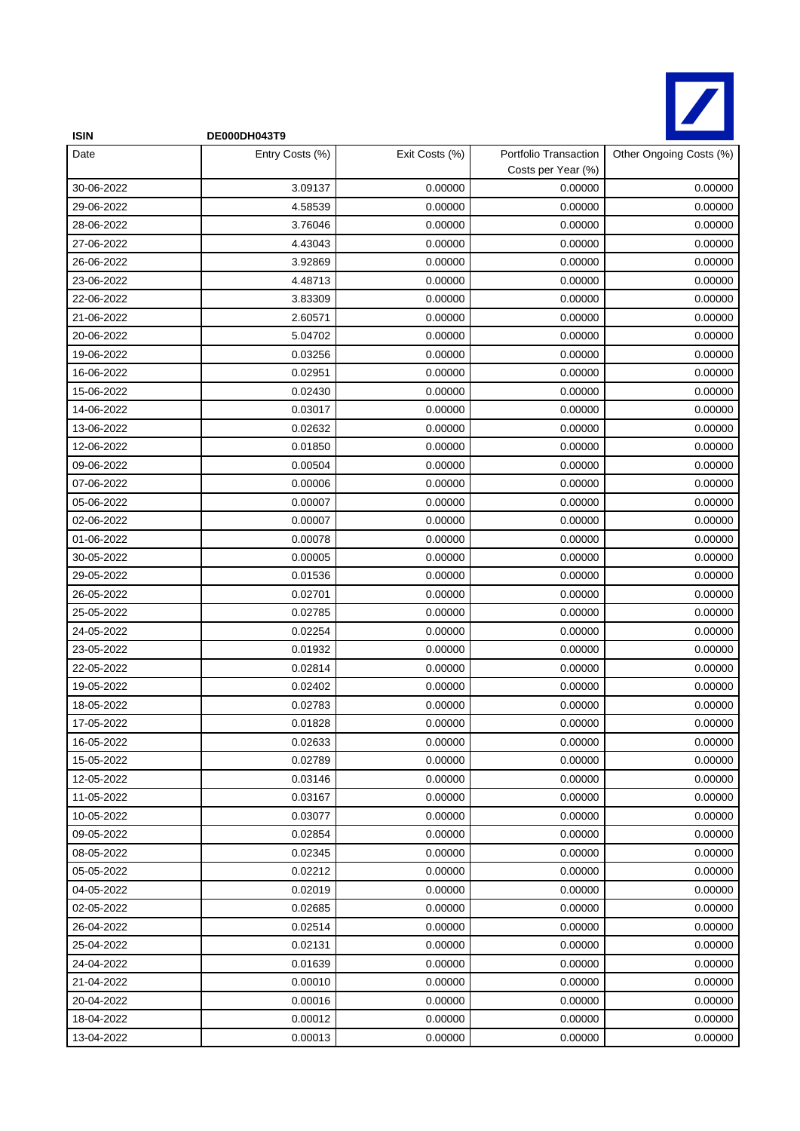

| <b>ISIN</b> | DE000DH043T9    |                |                                             |                         |
|-------------|-----------------|----------------|---------------------------------------------|-------------------------|
| Date        | Entry Costs (%) | Exit Costs (%) | Portfolio Transaction<br>Costs per Year (%) | Other Ongoing Costs (%) |
| 30-06-2022  | 3.09137         | 0.00000        | 0.00000                                     | 0.00000                 |
| 29-06-2022  | 4.58539         | 0.00000        | 0.00000                                     | 0.00000                 |
| 28-06-2022  | 3.76046         | 0.00000        | 0.00000                                     | 0.00000                 |
| 27-06-2022  | 4.43043         | 0.00000        | 0.00000                                     | 0.00000                 |
| 26-06-2022  | 3.92869         | 0.00000        | 0.00000                                     | 0.00000                 |
| 23-06-2022  | 4.48713         | 0.00000        | 0.00000                                     | 0.00000                 |
| 22-06-2022  | 3.83309         | 0.00000        | 0.00000                                     | 0.00000                 |
| 21-06-2022  | 2.60571         | 0.00000        | 0.00000                                     | 0.00000                 |
| 20-06-2022  | 5.04702         | 0.00000        | 0.00000                                     | 0.00000                 |
| 19-06-2022  | 0.03256         | 0.00000        | 0.00000                                     | 0.00000                 |
| 16-06-2022  | 0.02951         | 0.00000        | 0.00000                                     | 0.00000                 |
| 15-06-2022  | 0.02430         | 0.00000        | 0.00000                                     | 0.00000                 |
| 14-06-2022  | 0.03017         | 0.00000        | 0.00000                                     | 0.00000                 |
| 13-06-2022  | 0.02632         | 0.00000        | 0.00000                                     | 0.00000                 |
| 12-06-2022  | 0.01850         | 0.00000        | 0.00000                                     | 0.00000                 |
| 09-06-2022  | 0.00504         | 0.00000        | 0.00000                                     | 0.00000                 |
| 07-06-2022  | 0.00006         | 0.00000        | 0.00000                                     | 0.00000                 |
| 05-06-2022  | 0.00007         | 0.00000        | 0.00000                                     | 0.00000                 |
| 02-06-2022  | 0.00007         | 0.00000        | 0.00000                                     | 0.00000                 |
| 01-06-2022  | 0.00078         | 0.00000        | 0.00000                                     | 0.00000                 |
| 30-05-2022  | 0.00005         | 0.00000        | 0.00000                                     | 0.00000                 |
| 29-05-2022  | 0.01536         | 0.00000        | 0.00000                                     | 0.00000                 |
| 26-05-2022  | 0.02701         | 0.00000        | 0.00000                                     | 0.00000                 |
| 25-05-2022  | 0.02785         | 0.00000        | 0.00000                                     | 0.00000                 |
| 24-05-2022  | 0.02254         | 0.00000        | 0.00000                                     | 0.00000                 |
| 23-05-2022  | 0.01932         | 0.00000        | 0.00000                                     | 0.00000                 |
| 22-05-2022  | 0.02814         | 0.00000        | 0.00000                                     | 0.00000                 |
| 19-05-2022  | 0.02402         | 0.00000        | 0.00000                                     | 0.00000                 |
| 18-05-2022  | 0.02783         | 0.00000        | 0.00000                                     | 0.00000                 |
| 17-05-2022  | 0.01828         | 0.00000        | 0.00000                                     | 0.00000                 |
| 16-05-2022  | 0.02633         | 0.00000        | 0.00000                                     | 0.00000                 |
| 15-05-2022  | 0.02789         | 0.00000        | 0.00000                                     | 0.00000                 |
| 12-05-2022  | 0.03146         | 0.00000        | 0.00000                                     | 0.00000                 |
| 11-05-2022  | 0.03167         | 0.00000        | 0.00000                                     | 0.00000                 |
| 10-05-2022  | 0.03077         | 0.00000        | 0.00000                                     | 0.00000                 |
| 09-05-2022  | 0.02854         | 0.00000        | 0.00000                                     | 0.00000                 |
| 08-05-2022  | 0.02345         | 0.00000        | 0.00000                                     | 0.00000                 |
| 05-05-2022  | 0.02212         | 0.00000        | 0.00000                                     | 0.00000                 |
| 04-05-2022  | 0.02019         | 0.00000        | 0.00000                                     | 0.00000                 |
| 02-05-2022  | 0.02685         | 0.00000        | 0.00000                                     | 0.00000                 |
| 26-04-2022  | 0.02514         | 0.00000        | 0.00000                                     | 0.00000                 |
| 25-04-2022  | 0.02131         | 0.00000        | 0.00000                                     | 0.00000                 |
| 24-04-2022  | 0.01639         | 0.00000        | 0.00000                                     | 0.00000                 |
| 21-04-2022  | 0.00010         | 0.00000        | 0.00000                                     | 0.00000                 |
| 20-04-2022  | 0.00016         | 0.00000        | 0.00000                                     | 0.00000                 |
| 18-04-2022  | 0.00012         | 0.00000        | 0.00000                                     | 0.00000                 |
| 13-04-2022  | 0.00013         | 0.00000        | 0.00000                                     | 0.00000                 |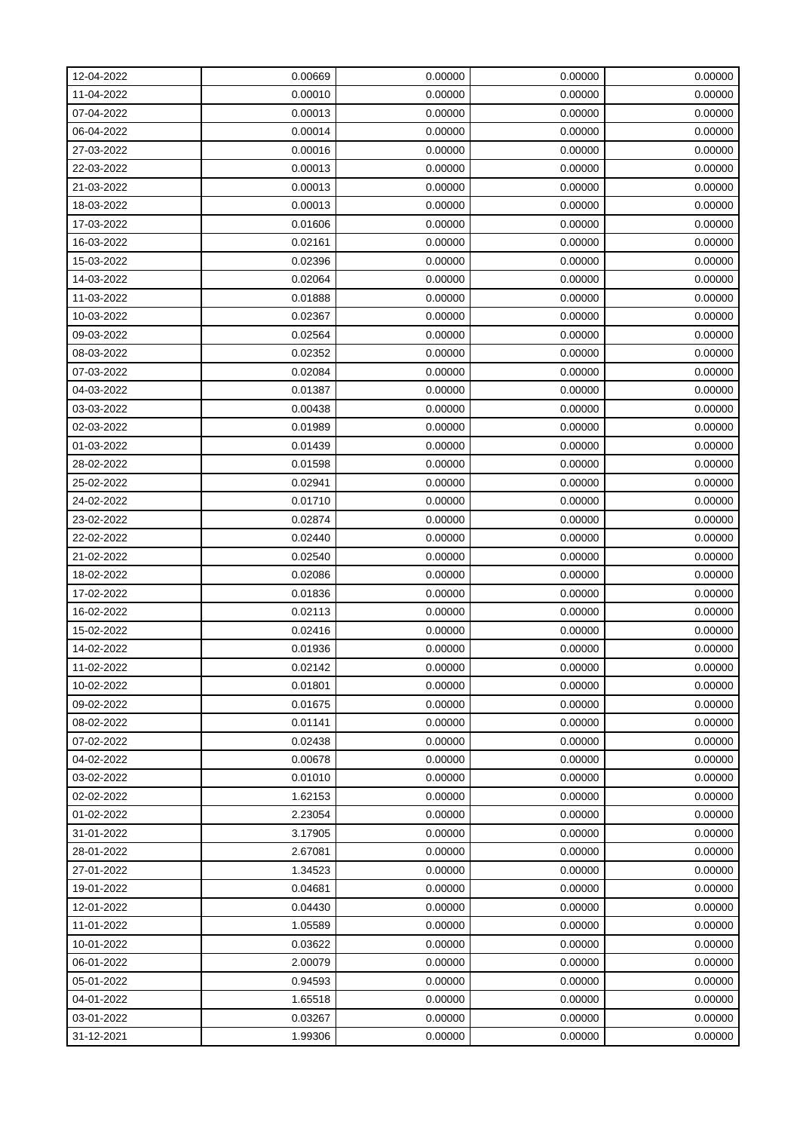| 12-04-2022 | 0.00669 | 0.00000 | 0.00000 | 0.00000 |
|------------|---------|---------|---------|---------|
| 11-04-2022 | 0.00010 | 0.00000 | 0.00000 | 0.00000 |
| 07-04-2022 | 0.00013 | 0.00000 | 0.00000 | 0.00000 |
| 06-04-2022 | 0.00014 | 0.00000 | 0.00000 | 0.00000 |
| 27-03-2022 | 0.00016 | 0.00000 | 0.00000 | 0.00000 |
| 22-03-2022 | 0.00013 | 0.00000 | 0.00000 | 0.00000 |
| 21-03-2022 | 0.00013 | 0.00000 | 0.00000 | 0.00000 |
| 18-03-2022 | 0.00013 | 0.00000 | 0.00000 | 0.00000 |
| 17-03-2022 | 0.01606 | 0.00000 | 0.00000 | 0.00000 |
| 16-03-2022 | 0.02161 | 0.00000 | 0.00000 | 0.00000 |
| 15-03-2022 | 0.02396 | 0.00000 | 0.00000 | 0.00000 |
| 14-03-2022 | 0.02064 | 0.00000 | 0.00000 | 0.00000 |
| 11-03-2022 | 0.01888 | 0.00000 | 0.00000 | 0.00000 |
| 10-03-2022 | 0.02367 | 0.00000 | 0.00000 | 0.00000 |
| 09-03-2022 | 0.02564 | 0.00000 | 0.00000 | 0.00000 |
| 08-03-2022 | 0.02352 | 0.00000 | 0.00000 | 0.00000 |
| 07-03-2022 | 0.02084 | 0.00000 | 0.00000 | 0.00000 |
| 04-03-2022 | 0.01387 | 0.00000 | 0.00000 | 0.00000 |
| 03-03-2022 | 0.00438 | 0.00000 | 0.00000 | 0.00000 |
| 02-03-2022 | 0.01989 | 0.00000 | 0.00000 | 0.00000 |
| 01-03-2022 | 0.01439 | 0.00000 | 0.00000 | 0.00000 |
| 28-02-2022 | 0.01598 | 0.00000 | 0.00000 | 0.00000 |
| 25-02-2022 | 0.02941 | 0.00000 | 0.00000 | 0.00000 |
| 24-02-2022 | 0.01710 | 0.00000 | 0.00000 | 0.00000 |
| 23-02-2022 | 0.02874 | 0.00000 | 0.00000 | 0.00000 |
| 22-02-2022 | 0.02440 | 0.00000 | 0.00000 | 0.00000 |
| 21-02-2022 | 0.02540 | 0.00000 | 0.00000 | 0.00000 |
| 18-02-2022 | 0.02086 | 0.00000 | 0.00000 | 0.00000 |
| 17-02-2022 | 0.01836 | 0.00000 | 0.00000 | 0.00000 |
| 16-02-2022 | 0.02113 | 0.00000 | 0.00000 | 0.00000 |
| 15-02-2022 | 0.02416 | 0.00000 | 0.00000 | 0.00000 |
| 14-02-2022 | 0.01936 | 0.00000 | 0.00000 | 0.00000 |
| 11-02-2022 | 0.02142 | 0.00000 | 0.00000 | 0.00000 |
| 10-02-2022 | 0.01801 | 0.00000 | 0.00000 | 0.00000 |
| 09-02-2022 | 0.01675 | 0.00000 | 0.00000 | 0.00000 |
| 08-02-2022 | 0.01141 | 0.00000 | 0.00000 | 0.00000 |
| 07-02-2022 | 0.02438 | 0.00000 | 0.00000 | 0.00000 |
| 04-02-2022 | 0.00678 | 0.00000 | 0.00000 | 0.00000 |
| 03-02-2022 | 0.01010 | 0.00000 | 0.00000 | 0.00000 |
| 02-02-2022 | 1.62153 | 0.00000 | 0.00000 | 0.00000 |
| 01-02-2022 | 2.23054 | 0.00000 | 0.00000 | 0.00000 |
| 31-01-2022 | 3.17905 | 0.00000 | 0.00000 | 0.00000 |
| 28-01-2022 | 2.67081 | 0.00000 | 0.00000 | 0.00000 |
| 27-01-2022 | 1.34523 | 0.00000 | 0.00000 | 0.00000 |
| 19-01-2022 | 0.04681 | 0.00000 | 0.00000 | 0.00000 |
| 12-01-2022 | 0.04430 | 0.00000 | 0.00000 | 0.00000 |
| 11-01-2022 | 1.05589 | 0.00000 | 0.00000 | 0.00000 |
| 10-01-2022 | 0.03622 | 0.00000 | 0.00000 | 0.00000 |
| 06-01-2022 | 2.00079 | 0.00000 | 0.00000 | 0.00000 |
| 05-01-2022 | 0.94593 | 0.00000 | 0.00000 | 0.00000 |
| 04-01-2022 | 1.65518 | 0.00000 | 0.00000 | 0.00000 |
| 03-01-2022 | 0.03267 | 0.00000 | 0.00000 | 0.00000 |
| 31-12-2021 | 1.99306 | 0.00000 | 0.00000 | 0.00000 |